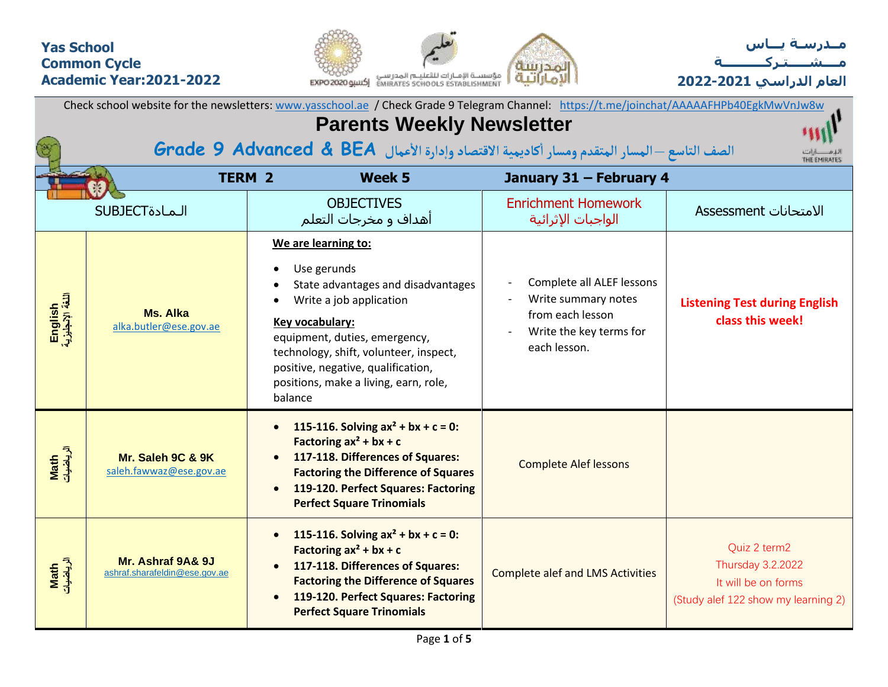## **Yas School Common Cycle Academic Year:2021-2022**





| Check school website for the newsletters: www.yasschool.ae / Check Grade 9 Telegram Channel: https://t.me/joinchat/AAAAAFHPb40EgkMwVnJw8w |                                                    |                                                                                                                                                                                                                                                                                             |                                                                                                                 |                                                                                                        |  |  |  |  |  |  |  |
|-------------------------------------------------------------------------------------------------------------------------------------------|----------------------------------------------------|---------------------------------------------------------------------------------------------------------------------------------------------------------------------------------------------------------------------------------------------------------------------------------------------|-----------------------------------------------------------------------------------------------------------------|--------------------------------------------------------------------------------------------------------|--|--|--|--|--|--|--|
|                                                                                                                                           |                                                    | <b>Parents Weekly Newsletter</b>                                                                                                                                                                                                                                                            |                                                                                                                 |                                                                                                        |  |  |  |  |  |  |  |
|                                                                                                                                           |                                                    | الصف التاسع - المسار المتقدم ومسار أكاديمية الاقتصاد وإدارة الأعمال Grade 9 Advanced & BEA                                                                                                                                                                                                  |                                                                                                                 | THE EMIRATES                                                                                           |  |  |  |  |  |  |  |
|                                                                                                                                           | <b>TERM 2</b>                                      | Week 5                                                                                                                                                                                                                                                                                      | January 31 - February 4                                                                                         |                                                                                                        |  |  |  |  |  |  |  |
|                                                                                                                                           | <b>SUBJECT</b>                                     | <b>OBJECTIVES</b><br>أهداف و مخرجات التعلم                                                                                                                                                                                                                                                  | <b>Enrichment Homework</b><br>الواجبات الإثرائية                                                                | <b>Assessment</b> الامتحانات                                                                           |  |  |  |  |  |  |  |
| English<br>اللغة الإنجليزية                                                                                                               | <b>Ms. Alka</b><br>alka.butler@ese.gov.ae          | We are learning to:<br>Use gerunds<br>State advantages and disadvantages<br>Write a job application<br>Key vocabulary:<br>equipment, duties, emergency,<br>technology, shift, volunteer, inspect,<br>positive, negative, qualification,<br>positions, make a living, earn, role,<br>balance | Complete all ALEF lessons<br>Write summary notes<br>from each lesson<br>Write the key terms for<br>each lesson. | <b>Listening Test during English</b><br>class this week!                                               |  |  |  |  |  |  |  |
| Math<br>الرياضيات                                                                                                                         | Mr. Saleh 9C & 9K<br>saleh.fawwaz@ese.gov.ae       | 115-116. Solving $ax^2 + bx + c = 0$ :<br>Factoring $ax^2 + bx + c$<br>117-118. Differences of Squares:<br><b>Factoring the Difference of Squares</b><br>119-120. Perfect Squares: Factoring<br>$\bullet$<br><b>Perfect Square Trinomials</b>                                               | <b>Complete Alef lessons</b>                                                                                    |                                                                                                        |  |  |  |  |  |  |  |
| Math<br>الرياضيات                                                                                                                         | Mr. Ashraf 9A& 9J<br>ashraf.sharafeldin@ese.gov.ae | 115-116. Solving $ax^2 + bx + c = 0$ :<br>Factoring $ax^2 + bx + c$<br>117-118. Differences of Squares:<br><b>Factoring the Difference of Squares</b><br>119-120. Perfect Squares: Factoring<br><b>Perfect Square Trinomials</b>                                                            | <b>Complete alef and LMS Activities</b>                                                                         | Quiz 2 term2<br><b>Thursday 3.2.2022</b><br>It will be on forms<br>(Study alef 122 show my learning 2) |  |  |  |  |  |  |  |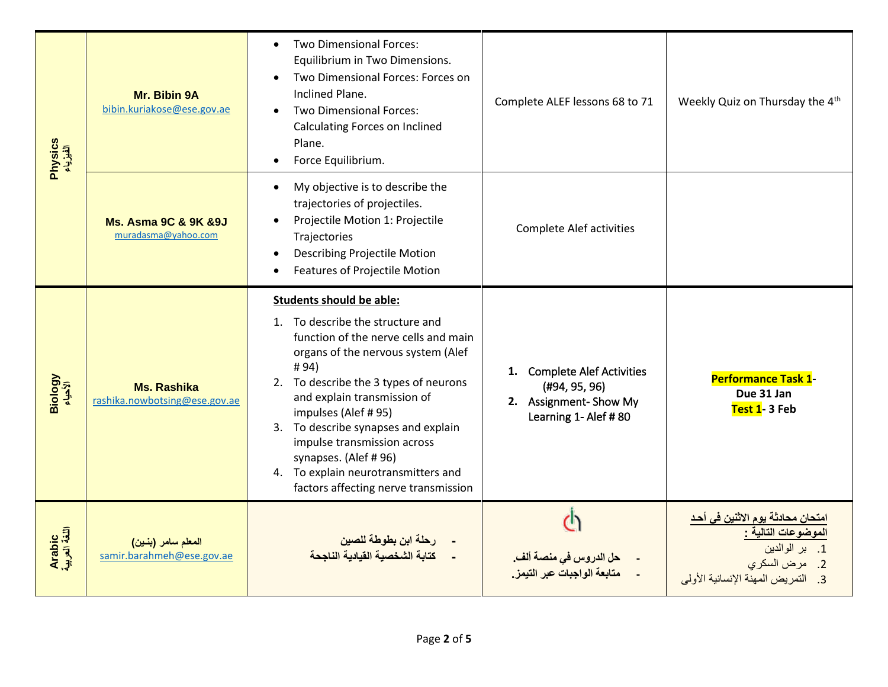| Physics<br>الفيزياء     | Mr. Bibin 9A<br>bibin.kuriakose@ese.gov.ae                  | Two Dimensional Forces:<br>Equilibrium in Two Dimensions.<br>Two Dimensional Forces: Forces on<br>Inclined Plane.<br>Two Dimensional Forces:<br>Calculating Forces on Inclined<br>Plane.<br>Force Equilibrium.                                                                                                                                                                                                                            | Complete ALEF lessons 68 to 71                                                                 | Weekly Quiz on Thursday the 4th                                                                                                                |
|-------------------------|-------------------------------------------------------------|-------------------------------------------------------------------------------------------------------------------------------------------------------------------------------------------------------------------------------------------------------------------------------------------------------------------------------------------------------------------------------------------------------------------------------------------|------------------------------------------------------------------------------------------------|------------------------------------------------------------------------------------------------------------------------------------------------|
|                         | <b>Ms. Asma 9C &amp; 9K &amp; 9J</b><br>muradasma@yahoo.com | My objective is to describe the<br>$\bullet$<br>trajectories of projectiles.<br>Projectile Motion 1: Projectile<br>Trajectories<br><b>Describing Projectile Motion</b><br><b>Features of Projectile Motion</b>                                                                                                                                                                                                                            | <b>Complete Alef activities</b>                                                                |                                                                                                                                                |
| Biology<br>الأحياء      | <b>Ms. Rashika</b><br>rashika.nowbotsing@ese.gov.ae         | <b>Students should be able:</b><br>1. To describe the structure and<br>function of the nerve cells and main<br>organs of the nervous system (Alef<br># 94)<br>2. To describe the 3 types of neurons<br>and explain transmission of<br>impulses (Alef #95)<br>To describe synapses and explain<br>3.<br>impulse transmission across<br>synapses. (Alef #96)<br>4. To explain neurotransmitters and<br>factors affecting nerve transmission | 1. Complete Alef Activities<br>(H94, 95, 96)<br>2. Assignment- Show My<br>Learning 1- Alef #80 | Performance Task 1-<br>Due 31 Jan<br>Test 1-3 Feb                                                                                              |
| Arabic<br>اللغة العربية | المعلم سامر (بنين)<br>samir.barahmeh@ese.gov.ae             | رحلة ابن بطوطة للصين<br>كتابة الشخصية القيادية الناجحة                                                                                                                                                                                                                                                                                                                                                                                    | <mark>حل الدروس في منصة ألف.</mark><br>متابعة الواجبات عبر التيمز.                             | <u>امتحان محادثة يوم الاثنين في أحد</u><br><u>الموضوعات التالية :</u><br>1. بر الوالدين<br>2. مرض السكرى<br>3. التمريض المهنة الإنسانية الأولى |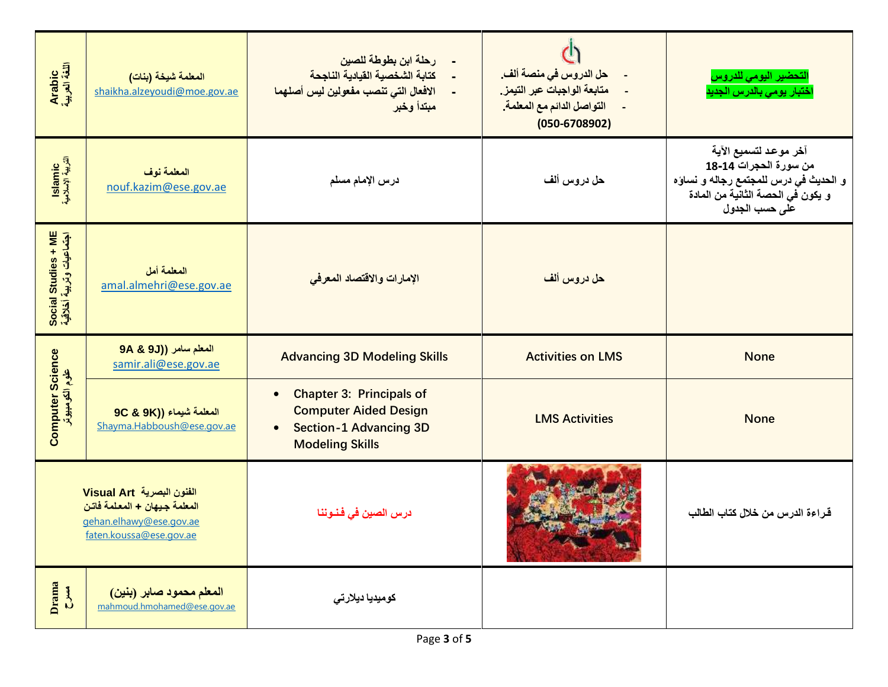| Arabic<br>اللغة العربية                         | المعلمة شيخة (بنات)<br>shaikha.alzeyoudi@moe.gov.ae                                                             | رحلة ابن بطوطة للصين<br>كتابة الشخصية القيادية الناجحة<br>الافعال التي تنصب مفعولين ليس أصلهما<br>مبتدأ وخبر                                         | حل الدروس في منصة ألف.<br>متابعة الواجبات عبر التيمز.<br>$\overline{\phantom{a}}$<br>التواصل الدائم مع المعلمة.<br>$\sim$<br>$(050 - 6708902)$ | التحضير اليومي للدروس<br>اختبار يوم <i>ي</i> بالدرس الجديد                                                                                     |
|-------------------------------------------------|-----------------------------------------------------------------------------------------------------------------|------------------------------------------------------------------------------------------------------------------------------------------------------|------------------------------------------------------------------------------------------------------------------------------------------------|------------------------------------------------------------------------------------------------------------------------------------------------|
| Islamic<br>التربية الإسلامية                    | المعلمة نوف<br>nouf.kazim@ese.gov.ae                                                                            | درس الإمام مسلم                                                                                                                                      | حل دروس ألف                                                                                                                                    | آخر موعد لتسميع الآية<br>من سورة الحجرات 14-18<br>و الحديث في درس للمجتمع رجاله و نساؤه<br>و يكون في الحصة الثانية من المادة<br>على حسب الجدول |
| Social Studies + ME<br>اجتماعیات وتربیة أخلاقیة | المعلمة أمل<br>amal.almehri@ese.gov.ae                                                                          | الإمارات والاقتصاد المعرفى                                                                                                                           | حل دروس ألف                                                                                                                                    |                                                                                                                                                |
|                                                 | المعلم سامر ((9J 9A & 9J<br>samir.ali@ese.gov.ae                                                                | <b>Advancing 3D Modeling Skills</b>                                                                                                                  | <b>Activities on LMS</b>                                                                                                                       | <b>None</b>                                                                                                                                    |
| <b>Computer Science</b><br>علوم الكومبيوتر      | 9C & 9K)) المعلمة شيماء<br>Shayma.Habboush@ese.gov.ae                                                           | <b>Chapter 3: Principals of</b><br>$\bullet$<br><b>Computer Aided Design</b><br><b>Section-1 Advancing 3D</b><br>$\bullet$<br><b>Modeling Skills</b> | <b>LMS Activities</b>                                                                                                                          | <b>None</b>                                                                                                                                    |
|                                                 | الفنون البصرية Visual Art<br>المعلمة جيهان + المعلمة فاتن<br>gehan.elhawy@ese.gov.ae<br>faten.koussa@ese.gov.ae | درس الصين في فنـوننا                                                                                                                                 |                                                                                                                                                | قراءة الدرس من خلال كتاب الطالب                                                                                                                |
| Drama<br>$\sum_{i=1}^{n}$                       | المعلم محمود صابر (بنين)                                                                                        | كوميديا ديلارتي                                                                                                                                      |                                                                                                                                                |                                                                                                                                                |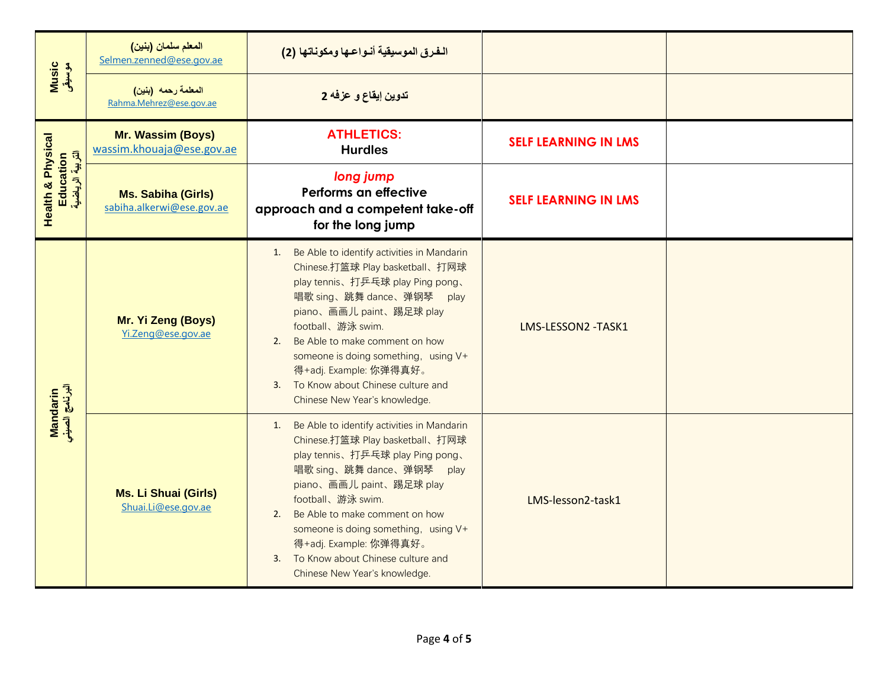|                                                               | المعلم سلمان (بنين)<br>Selmen.zenned@ese.gov.ae        | الـفرق الموسيقية أنـواعـها ومكونـاتها (2)                                                                                                                                                                                                                                                                                                                                             |                             |  |  |  |  |  |
|---------------------------------------------------------------|--------------------------------------------------------|---------------------------------------------------------------------------------------------------------------------------------------------------------------------------------------------------------------------------------------------------------------------------------------------------------------------------------------------------------------------------------------|-----------------------------|--|--|--|--|--|
| Music<br>موسیقی                                               | المعلمة رحمه (بنين)<br>Rahma.Mehrez@ese.gov.ae         | تدوين إيقاع و عزفه 2                                                                                                                                                                                                                                                                                                                                                                  |                             |  |  |  |  |  |
|                                                               | Mr. Wassim (Boys)<br>wassim.khouaja@ese.gov.ae         | <b>ATHLETICS:</b><br><b>Hurdles</b>                                                                                                                                                                                                                                                                                                                                                   | <b>SELF LEARNING IN LMS</b> |  |  |  |  |  |
| <b>Health &amp; Physical</b><br>Education<br>التربية الرياضية | <b>Ms. Sabiha (Girls)</b><br>sabiha.alkerwi@ese.gov.ae | long jump<br>Performs an effective<br>approach and a competent take-off<br>for the long jump                                                                                                                                                                                                                                                                                          | <b>SELF LEARNING IN LMS</b> |  |  |  |  |  |
|                                                               | Mr. Yi Zeng (Boys)<br>Yi.Zeng@ese.gov.ae               | 1. Be Able to identify activities in Mandarin<br>Chinese.打篮球 Play basketball、打网球<br>play tennis、打乒乓球 play Ping pong、<br>唱歌 sing、跳舞 dance、弹钢琴 play<br>piano、画画儿 paint、踢足球 play<br>football、游泳 swim.<br>2. Be Able to make comment on how<br>someone is doing something, using V+<br>得+adj. Example: 你弹得真好。<br>3. To Know about Chinese culture and<br>Chinese New Year's knowledge.    | LMS-LESSON2 -TASK1          |  |  |  |  |  |
| البرنامج الصينر<br>Mandarin                                   | <b>Ms. Li Shuai (Girls)</b><br>Shuai.Li@ese.gov.ae     | Be Able to identify activities in Mandarin<br>1.<br>Chinese.打篮球 Play basketball、打网球<br>play tennis、打乒乓球 play Ping pong、<br>唱歌 sing、跳舞 dance、弹钢琴 play<br>piano、画画儿 paint、踢足球 play<br>football、游泳 swim.<br>2. Be Able to make comment on how<br>someone is doing something, using V+<br>得+adj. Example: 你弹得真好。<br>3. To Know about Chinese culture and<br>Chinese New Year's knowledge. | LMS-lesson2-task1           |  |  |  |  |  |